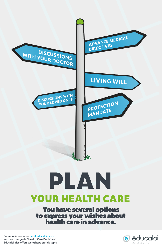**For more information, visit educaloi.qc.ca and read our guide "Health Care Decisions". Éducaloi also offers workshops on this topic.**





# **YOUR HEALTH CARE** You have several options to express your wishes about health care in advance.